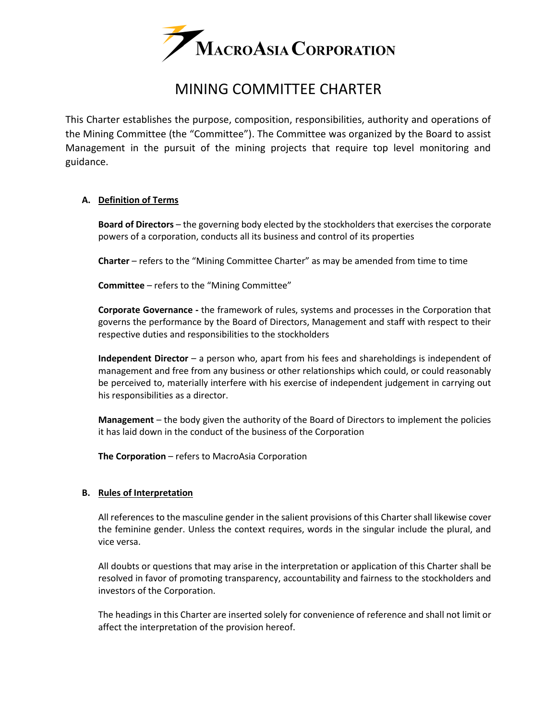

# MINING COMMITTEE CHARTER

This Charter establishes the purpose, composition, responsibilities, authority and operations of the Mining Committee (the "Committee"). The Committee was organized by the Board to assist Management in the pursuit of the mining projects that require top level monitoring and guidance.

# **A. Definition of Terms**

**Board of Directors** – the governing body elected by the stockholders that exercises the corporate powers of a corporation, conducts all its business and control of its properties

**Charter** – refers to the "Mining Committee Charter" as may be amended from time to time

**Committee** – refers to the "Mining Committee"

**Corporate Governance -** the framework of rules, systems and processes in the Corporation that governs the performance by the Board of Directors, Management and staff with respect to their respective duties and responsibilities to the stockholders

**Independent Director** – a person who, apart from his fees and shareholdings is independent of management and free from any business or other relationships which could, or could reasonably be perceived to, materially interfere with his exercise of independent judgement in carrying out his responsibilities as a director.

**Management** – the body given the authority of the Board of Directors to implement the policies it has laid down in the conduct of the business of the Corporation

**The Corporation** – refers to MacroAsia Corporation

# **B. Rules of Interpretation**

All references to the masculine gender in the salient provisions of this Charter shall likewise cover the feminine gender. Unless the context requires, words in the singular include the plural, and vice versa.

All doubts or questions that may arise in the interpretation or application of this Charter shall be resolved in favor of promoting transparency, accountability and fairness to the stockholders and investors of the Corporation.

The headings in this Charter are inserted solely for convenience of reference and shall not limit or affect the interpretation of the provision hereof.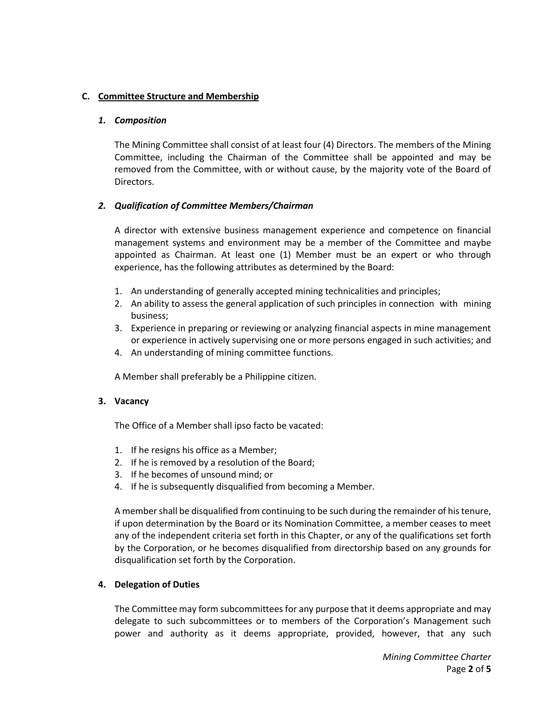# **C. Committee Structure and Membership**

# *1. Composition*

The Mining Committee shall consist of at least four (4) Directors. The members of the Mining Committee, including the Chairman of the Committee shall be appointed and may be removed from the Committee, with or without cause, by the majority vote of the Board of Directors.

# *2. Qualification of Committee Members/Chairman*

A director with extensive business management experience and competence on financial management systems and environment may be a member of the Committee and maybe appointed as Chairman. At least one (1) Member must be an expert or who through experience, has the following attributes as determined by the Board:

- 1. An understanding of generally accepted mining technicalities and principles;
- 2. An ability to assess the general application of such principles in connection with mining business;
- 3. Experience in preparing or reviewing or analyzing financial aspects in mine management or experience in actively supervising one or more persons engaged in such activities; and
- 4. An understanding of mining committee functions.

A Member shall preferably be a Philippine citizen.

# **3. Vacancy**

The Office of a Member shall ipso facto be vacated:

- 1. If he resigns his office as a Member;
- 2. If he is removed by a resolution of the Board;
- 3. If he becomes of unsound mind; or
- 4. If he is subsequently disqualified from becoming a Member.

A member shall be disqualified from continuing to be such during the remainder of his tenure, if upon determination by the Board or its Nomination Committee, a member ceases to meet any of the independent criteria set forth in this Chapter, or any of the qualifications set forth by the Corporation, or he becomes disqualified from directorship based on any grounds for disqualification set forth by the Corporation.

# **4. Delegation of Duties**

The Committee may form subcommittees for any purpose that it deems appropriate and may delegate to such subcommittees or to members of the Corporation's Management such power and authority as it deems appropriate, provided, however, that any such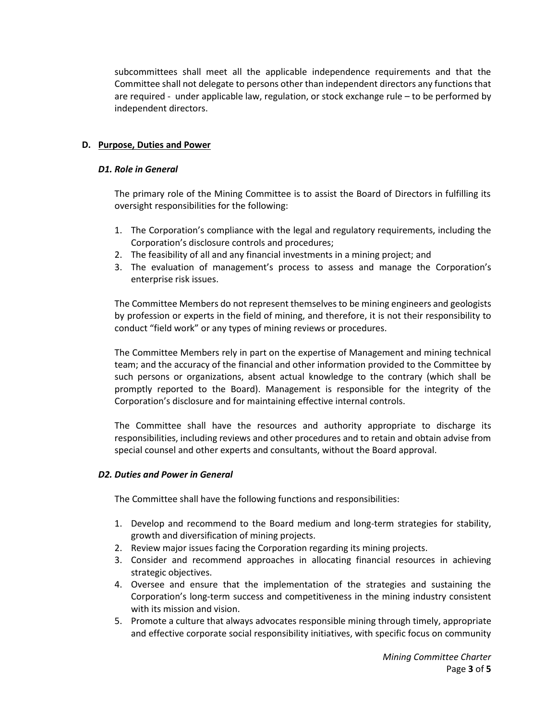subcommittees shall meet all the applicable independence requirements and that the Committee shall not delegate to persons other than independent directors any functions that are required - under applicable law, regulation, or stock exchange rule – to be performed by independent directors.

# **D. Purpose, Duties and Power**

# *D1. Role in General*

The primary role of the Mining Committee is to assist the Board of Directors in fulfilling its oversight responsibilities for the following:

- 1. The Corporation's compliance with the legal and regulatory requirements, including the Corporation's disclosure controls and procedures;
- 2. The feasibility of all and any financial investments in a mining project; and
- 3. The evaluation of management's process to assess and manage the Corporation's enterprise risk issues.

The Committee Members do not represent themselves to be mining engineers and geologists by profession or experts in the field of mining, and therefore, it is not their responsibility to conduct "field work" or any types of mining reviews or procedures.

The Committee Members rely in part on the expertise of Management and mining technical team; and the accuracy of the financial and other information provided to the Committee by such persons or organizations, absent actual knowledge to the contrary (which shall be promptly reported to the Board). Management is responsible for the integrity of the Corporation's disclosure and for maintaining effective internal controls.

The Committee shall have the resources and authority appropriate to discharge its responsibilities, including reviews and other procedures and to retain and obtain advise from special counsel and other experts and consultants, without the Board approval.

# *D2. Duties and Power in General*

The Committee shall have the following functions and responsibilities:

- 1. Develop and recommend to the Board medium and long-term strategies for stability, growth and diversification of mining projects.
- 2. Review major issues facing the Corporation regarding its mining projects.
- 3. Consider and recommend approaches in allocating financial resources in achieving strategic objectives.
- 4. Oversee and ensure that the implementation of the strategies and sustaining the Corporation's long-term success and competitiveness in the mining industry consistent with its mission and vision.
- 5. Promote a culture that always advocates responsible mining through timely, appropriate and effective corporate social responsibility initiatives, with specific focus on community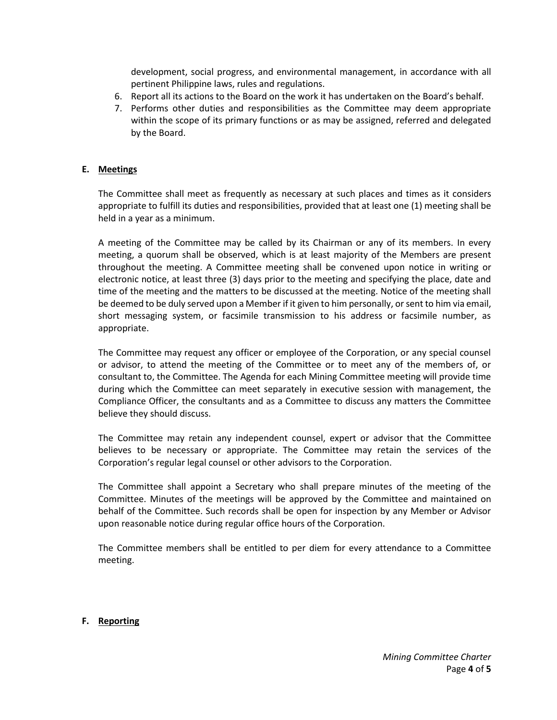development, social progress, and environmental management, in accordance with all pertinent Philippine laws, rules and regulations.

- 6. Report all its actions to the Board on the work it has undertaken on the Board's behalf.
- 7. Performs other duties and responsibilities as the Committee may deem appropriate within the scope of its primary functions or as may be assigned, referred and delegated by the Board.

# **E. Meetings**

The Committee shall meet as frequently as necessary at such places and times as it considers appropriate to fulfill its duties and responsibilities, provided that at least one (1) meeting shall be held in a year as a minimum.

A meeting of the Committee may be called by its Chairman or any of its members. In every meeting, a quorum shall be observed, which is at least majority of the Members are present throughout the meeting. A Committee meeting shall be convened upon notice in writing or electronic notice, at least three (3) days prior to the meeting and specifying the place, date and time of the meeting and the matters to be discussed at the meeting. Notice of the meeting shall be deemed to be duly served upon a Member if it given to him personally, or sent to him via email, short messaging system, or facsimile transmission to his address or facsimile number, as appropriate.

The Committee may request any officer or employee of the Corporation, or any special counsel or advisor, to attend the meeting of the Committee or to meet any of the members of, or consultant to, the Committee. The Agenda for each Mining Committee meeting will provide time during which the Committee can meet separately in executive session with management, the Compliance Officer, the consultants and as a Committee to discuss any matters the Committee believe they should discuss.

The Committee may retain any independent counsel, expert or advisor that the Committee believes to be necessary or appropriate. The Committee may retain the services of the Corporation's regular legal counsel or other advisors to the Corporation.

The Committee shall appoint a Secretary who shall prepare minutes of the meeting of the Committee. Minutes of the meetings will be approved by the Committee and maintained on behalf of the Committee. Such records shall be open for inspection by any Member or Advisor upon reasonable notice during regular office hours of the Corporation.

The Committee members shall be entitled to per diem for every attendance to a Committee meeting.

# **F. Reporting**